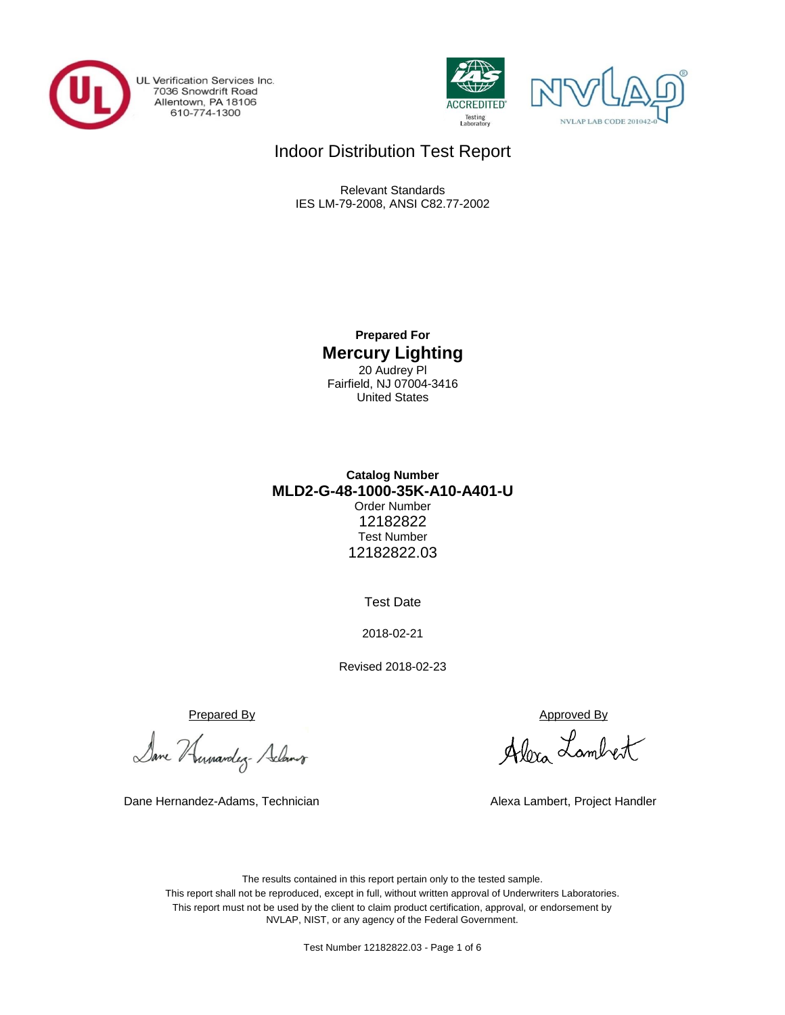

UL Verification Services Inc. 7036 Snowdrift Road<br>Allentown, PA 18106<br>610-774-1300





## Indoor Distribution Test Report

Relevant Standards IES LM-79-2008, ANSI C82.77-2002

> **Prepared For Mercury Lighting** 20 Audrey Pl Fairfield, NJ 07004-3416 United States

### **Catalog Number** Order Number 12182822 Test Number 12182822.03 **MLD2-G-48-1000-35K-A10-A401-U**

Test Date

2018-02-21

Revised 2018-02-23

Prepared By Approved By

Dane Humandez- Adams

Dane Hernandez-Adams, Technician Alexa Lambert, Project Handler

Alexa Lambert

The results contained in this report pertain only to the tested sample. This report shall not be reproduced, except in full, without written approval of Underwriters Laboratories. This report must not be used by the client to claim product certification, approval, or endorsement by NVLAP, NIST, or any agency of the Federal Government.

Test Number 12182822.03 - Page 1 of 6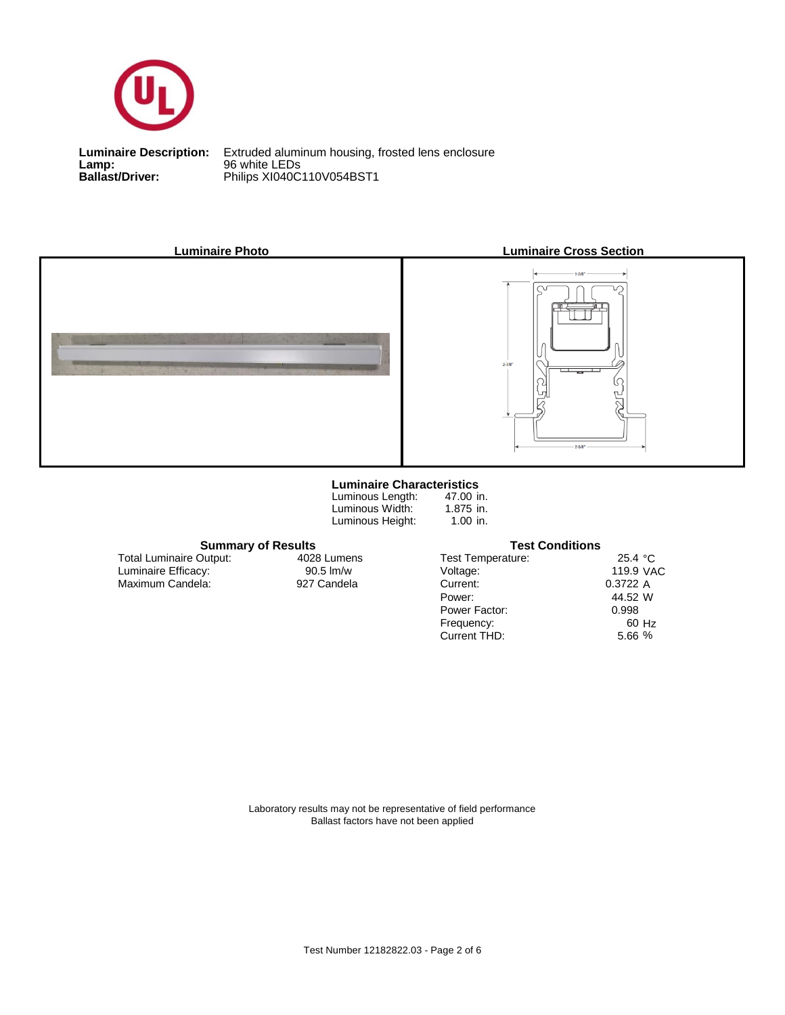

**Lamp:** 96 white LEDs

**Ballast/Driver:** Philips XI040C110V054BST1 **Luminaire Description:** Extruded aluminum housing, frosted lens enclosure



#### **Luminaire Characteristics**

Luminous Height: Luminous Length: Luminous Width:

47.00 in. 1.875 in. 1.00 in.

## **Summary of Results Test Conditions**

| 25.4 $^{\circ}$ C |
|-------------------|
| 119.9 VAC         |
| 0.3722 A          |
| 44.52 W           |
| 0.998             |
| 60 Hz             |
| 5.66%             |
|                   |

 Maximum Candela: 927 Candela Luminaire Efficacy: Total Luminaire Output:

4028 Lumens

Laboratory results may not be representative of field performance Ballast factors have not been applied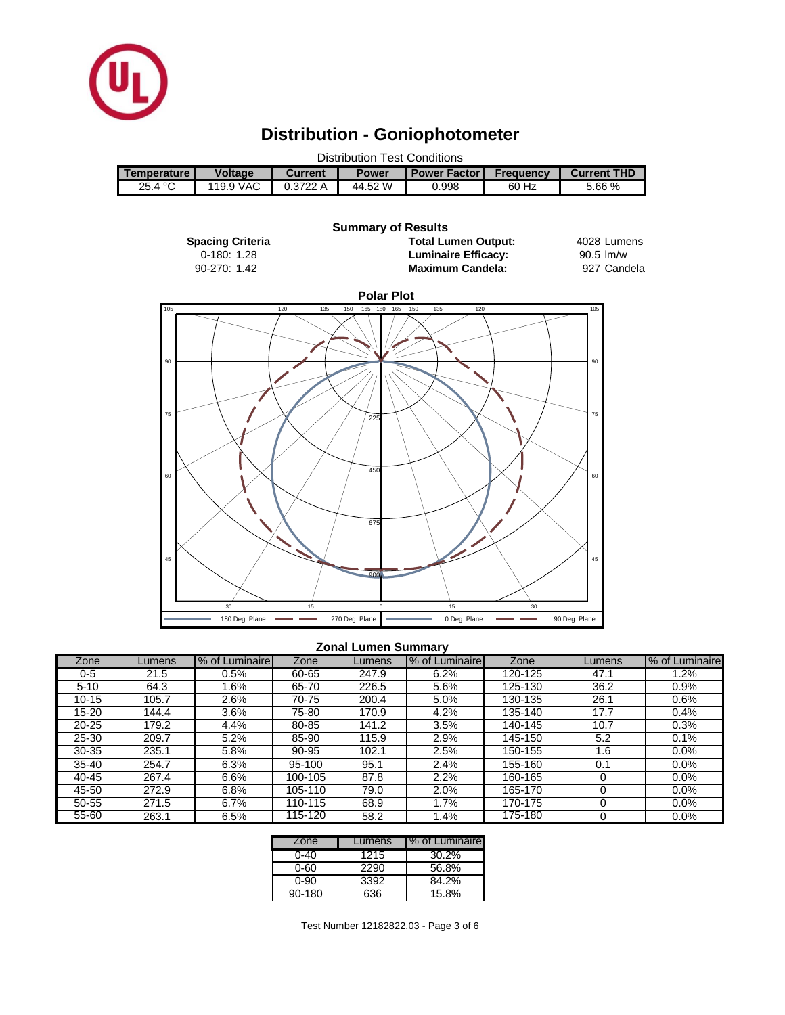

# **Distribution - Goniophotometer**

| <b>Distribution Test Conditions</b> |                |                |              |                       |           |                    |  |  |  |
|-------------------------------------|----------------|----------------|--------------|-----------------------|-----------|--------------------|--|--|--|
| Temperature I                       | <b>Voltage</b> | <b>Current</b> | <b>Power</b> | <b>Power Factor I</b> | Frequency | <b>Current THD</b> |  |  |  |
| 25.4 °C                             | 119.9 VAC      | 0.3722A        | 44.52 W      | 0.998                 | 60 Hz     | 5.66%              |  |  |  |
|                                     |                |                |              |                       |           |                    |  |  |  |



#### **Zonal Lumen Summary**

| Zone      | _umens | % of Luminaire | Zone    | Lumens | % of Luminaire | Zone    | Lumens | % of Luminaire |
|-----------|--------|----------------|---------|--------|----------------|---------|--------|----------------|
| 0-5       | 21.5   | 0.5%           | 60-65   | 247.9  | 6.2%           | 120-125 | 47.1   | $1.2\%$        |
| $5 - 10$  | 64.3   | .6%            | 65-70   | 226.5  | 5.6%           | 125-130 | 36.2   | 0.9%           |
| $10 - 15$ | 105.7  | 2.6%           | 70-75   | 200.4  | 5.0%           | 130-135 | 26.1   | 0.6%           |
| 15-20     | 144.4  | 3.6%           | 75-80   | 170.9  | 4.2%           | 135-140 | 17.7   | 0.4%           |
| $20 - 25$ | 179.2  | 4.4%           | 80-85   | 141.2  | 3.5%           | 140-145 | 10.7   | 0.3%           |
| $25 - 30$ | 209.7  | 5.2%           | 85-90   | 115.9  | 2.9%           | 145-150 | 5.2    | 0.1%           |
| $30 - 35$ | 235.1  | 5.8%           | 90-95   | 102.1  | 2.5%           | 150-155 | 1.6    | 0.0%           |
| $35 - 40$ | 254.7  | 6.3%           | 95-100  | 95.1   | 2.4%           | 155-160 | 0.1    | $0.0\%$        |
| 40-45     | 267.4  | 6.6%           | 100-105 | 87.8   | 2.2%           | 160-165 |        | 0.0%           |
| 45-50     | 272.9  | 6.8%           | 105-110 | 79.0   | 2.0%           | 165-170 |        | $0.0\%$        |
| 50-55     | 271.5  | 6.7%           | 110-115 | 68.9   | $.7\%$         | 170-175 |        | 0.0%           |
| 55-60     | 263.1  | 6.5%           | 115-120 | 58.2   | .4%            | 175-180 |        | 0.0%           |

| Zone   | Lumens | % of Luminaire |
|--------|--------|----------------|
| 0-40   | 1215   | 30.2%          |
| 0-60   | 2290   | 56.8%          |
| 0-90   | 3392   | 84.2%          |
| 90-180 | 636    | 15.8%          |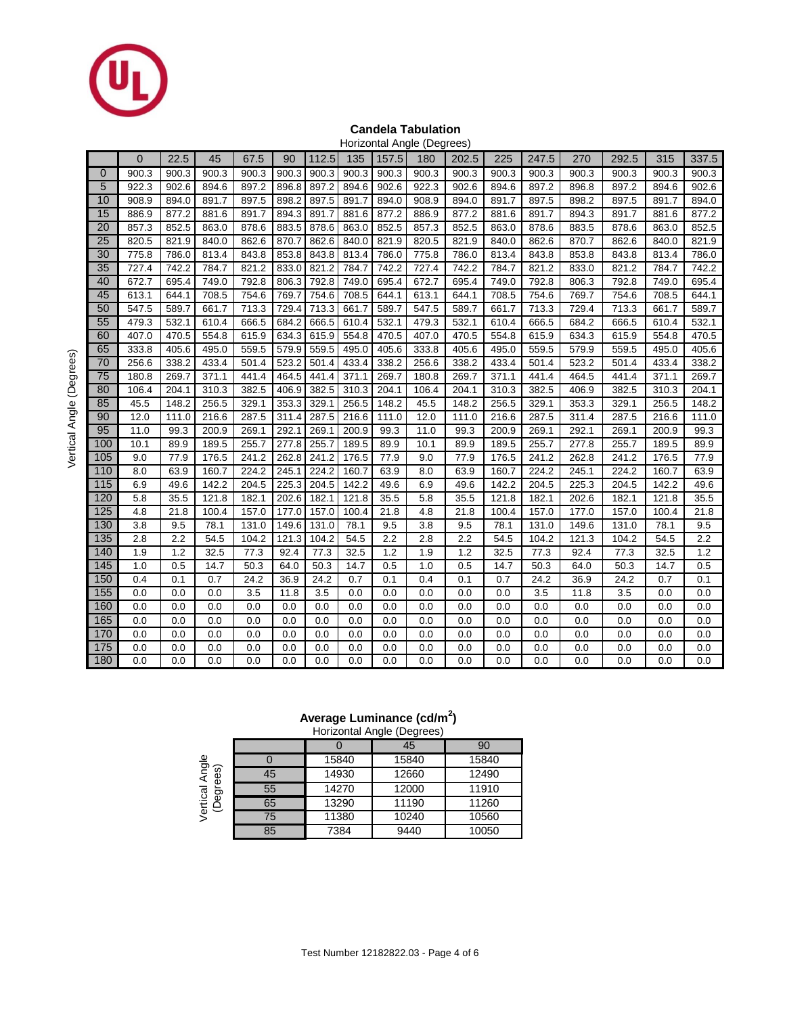

#### **Candela Tabulation** Horizontal Angle (Degrees)

|             |              |       |       |       |       |       |       |       | HUILLUITTAI AITUIG (Deglees) |       |       |       |       |       |       |       |
|-------------|--------------|-------|-------|-------|-------|-------|-------|-------|------------------------------|-------|-------|-------|-------|-------|-------|-------|
|             | $\mathbf{0}$ | 22.5  | 45    | 67.5  | 90    | 112.5 | 135   | 157.5 | 180                          | 202.5 | 225   | 247.5 | 270   | 292.5 | 315   | 337.5 |
| $\mathbf 0$ | 900.3        | 900.3 | 900.3 | 900.3 | 900.3 | 900.3 | 900.3 | 900.3 | 900.3                        | 900.3 | 900.3 | 900.3 | 900.3 | 900.3 | 900.3 | 900.3 |
| 5           | 922.3        | 902.6 | 894.6 | 897.2 | 896.8 | 897.2 | 894.6 | 902.6 | 922.3                        | 902.6 | 894.6 | 897.2 | 896.8 | 897.2 | 894.6 | 902.6 |
| 10          | 908.9        | 894.0 | 891.7 | 897.5 | 898.2 | 897.5 | 891.7 | 894.0 | 908.9                        | 894.0 | 891.7 | 897.5 | 898.2 | 897.5 | 891.7 | 894.0 |
| 15          | 886.9        | 877.2 | 881.6 | 891.7 | 894.3 | 891.7 | 881.6 | 877.2 | 886.9                        | 877.2 | 881.6 | 891.7 | 894.3 | 891.7 | 881.6 | 877.2 |
| 20          | 857.3        | 852.5 | 863.0 | 878.6 | 883.5 | 878.6 | 863.0 | 852.5 | 857.3                        | 852.5 | 863.0 | 878.6 | 883.5 | 878.6 | 863.0 | 852.5 |
| 25          | 820.5        | 821.9 | 840.0 | 862.6 | 870.7 | 862.6 | 840.0 | 821.9 | 820.5                        | 821.9 | 840.0 | 862.6 | 870.7 | 862.6 | 840.0 | 821.9 |
| 30          | 775.8        | 786.0 | 813.4 | 843.8 | 853.8 | 843.8 | 813.4 | 786.0 | 775.8                        | 786.0 | 813.4 | 843.8 | 853.8 | 843.8 | 813.4 | 786.0 |
| 35          | 727.4        | 742.2 | 784.7 | 821.2 | 833.0 | 821.2 | 784.7 | 742.2 | 727.4                        | 742.2 | 784.7 | 821.2 | 833.0 | 821.2 | 784.7 | 742.2 |
| 40          | 672.7        | 695.4 | 749.0 | 792.8 | 806.3 | 792.8 | 749.0 | 695.4 | 672.7                        | 695.4 | 749.0 | 792.8 | 806.3 | 792.8 | 749.0 | 695.4 |
| 45          | 613.1        | 644.1 | 708.5 | 754.6 | 769.7 | 754.6 | 708.5 | 644.1 | 613.1                        | 644.1 | 708.5 | 754.6 | 769.7 | 754.6 | 708.5 | 644.1 |
| 50          | 547.5        | 589.7 | 661.7 | 713.3 | 729.4 | 713.3 | 661.7 | 589.7 | 547.5                        | 589.7 | 661.7 | 713.3 | 729.4 | 713.3 | 661.7 | 589.7 |
| 55          | 479.3        | 532.1 | 610.4 | 666.5 | 684.2 | 666.5 | 610.4 | 532.1 | 479.3                        | 532.1 | 610.4 | 666.5 | 684.2 | 666.5 | 610.4 | 532.1 |
| 60          | 407.0        | 470.5 | 554.8 | 615.9 | 634.3 | 615.9 | 554.8 | 470.5 | 407.0                        | 470.5 | 554.8 | 615.9 | 634.3 | 615.9 | 554.8 | 470.5 |
| 65          | 333.8        | 405.6 | 495.0 | 559.5 | 579.9 | 559.5 | 495.0 | 405.6 | 333.8                        | 405.6 | 495.0 | 559.5 | 579.9 | 559.5 | 495.0 | 405.6 |
| 70          | 256.6        | 338.2 | 433.4 | 501.4 | 523.2 | 501.4 | 433.4 | 338.2 | 256.6                        | 338.2 | 433.4 | 501.4 | 523.2 | 501.4 | 433.4 | 338.2 |
| 75          | 180.8        | 269.7 | 371.1 | 441.4 | 464.5 | 441.4 | 371.1 | 269.7 | 180.8                        | 269.7 | 371.1 | 441.4 | 464.5 | 441.4 | 371.1 | 269.7 |
| 80          | 106.4        | 204.1 | 310.3 | 382.5 | 406.9 | 382.5 | 310.3 | 204.1 | 106.4                        | 204.1 | 310.3 | 382.5 | 406.9 | 382.5 | 310.3 | 204.1 |
| 85          | 45.5         | 148.2 | 256.5 | 329.1 | 353.3 | 329.1 | 256.5 | 148.2 | 45.5                         | 148.2 | 256.5 | 329.1 | 353.3 | 329.1 | 256.5 | 148.2 |
| 90          | 12.0         | 111.0 | 216.6 | 287.5 | 311.4 | 287.5 | 216.6 | 111.0 | 12.0                         | 111.0 | 216.6 | 287.5 | 311.4 | 287.5 | 216.6 | 111.0 |
| 95          | 11.0         | 99.3  | 200.9 | 269.1 | 292.1 | 269.1 | 200.9 | 99.3  | 11.0                         | 99.3  | 200.9 | 269.1 | 292.1 | 269.1 | 200.9 | 99.3  |
| 100         | 10.1         | 89.9  | 189.5 | 255.7 | 277.8 | 255.7 | 189.5 | 89.9  | 10.1                         | 89.9  | 189.5 | 255.7 | 277.8 | 255.7 | 189.5 | 89.9  |
| 105         | 9.0          | 77.9  | 176.5 | 241.2 | 262.8 | 241.2 | 176.5 | 77.9  | 9.0                          | 77.9  | 176.5 | 241.2 | 262.8 | 241.2 | 176.5 | 77.9  |
| 110         | 8.0          | 63.9  | 160.7 | 224.2 | 245.1 | 224.2 | 160.7 | 63.9  | 8.0                          | 63.9  | 160.7 | 224.2 | 245.1 | 224.2 | 160.7 | 63.9  |
| 115         | 6.9          | 49.6  | 142.2 | 204.5 | 225.3 | 204.5 | 142.2 | 49.6  | 6.9                          | 49.6  | 142.2 | 204.5 | 225.3 | 204.5 | 142.2 | 49.6  |
| 120         | 5.8          | 35.5  | 121.8 | 182.1 | 202.6 | 182.1 | 121.8 | 35.5  | 5.8                          | 35.5  | 121.8 | 182.1 | 202.6 | 182.1 | 121.8 | 35.5  |
| 125         | 4.8          | 21.8  | 100.4 | 157.0 | 177.0 | 157.0 | 100.4 | 21.8  | 4.8                          | 21.8  | 100.4 | 157.0 | 177.0 | 157.0 | 100.4 | 21.8  |
| 130         | 3.8          | 9.5   | 78.1  | 131.0 | 149.6 | 131.0 | 78.1  | 9.5   | 3.8                          | 9.5   | 78.1  | 131.0 | 149.6 | 131.0 | 78.1  | 9.5   |
| 135         | 2.8          | 2.2   | 54.5  | 104.2 | 121.3 | 104.2 | 54.5  | 2.2   | 2.8                          | 2.2   | 54.5  | 104.2 | 121.3 | 104.2 | 54.5  | 2.2   |
| 140         | 1.9          | 1.2   | 32.5  | 77.3  | 92.4  | 77.3  | 32.5  | 1.2   | 1.9                          | 1.2   | 32.5  | 77.3  | 92.4  | 77.3  | 32.5  | 1.2   |
| 145         | 1.0          | 0.5   | 14.7  | 50.3  | 64.0  | 50.3  | 14.7  | 0.5   | 1.0                          | 0.5   | 14.7  | 50.3  | 64.0  | 50.3  | 14.7  | 0.5   |
| 150         | 0.4          | 0.1   | 0.7   | 24.2  | 36.9  | 24.2  | 0.7   | 0.1   | 0.4                          | 0.1   | 0.7   | 24.2  | 36.9  | 24.2  | 0.7   | 0.1   |
| 155         | 0.0          | 0.0   | 0.0   | 3.5   | 11.8  | 3.5   | 0.0   | 0.0   | 0.0                          | 0.0   | 0.0   | 3.5   | 11.8  | 3.5   | 0.0   | 0.0   |
| 160         | 0.0          | 0.0   | 0.0   | 0.0   | 0.0   | 0.0   | 0.0   | 0.0   | 0.0                          | 0.0   | 0.0   | 0.0   | 0.0   | 0.0   | 0.0   | 0.0   |
| 165         | 0.0          | 0.0   | 0.0   | 0.0   | 0.0   | 0.0   | 0.0   | 0.0   | 0.0                          | 0.0   | 0.0   | 0.0   | 0.0   | 0.0   | 0.0   | 0.0   |
| 170         | 0.0          | 0.0   | 0.0   | 0.0   | 0.0   | 0.0   | 0.0   | 0.0   | 0.0                          | 0.0   | 0.0   | 0.0   | 0.0   | 0.0   | 0.0   | 0.0   |
| 175         | 0.0          | 0.0   | 0.0   | 0.0   | 0.0   | 0.0   | 0.0   | 0.0   | 0.0                          | 0.0   | 0.0   | 0.0   | 0.0   | 0.0   | 0.0   | 0.0   |
| 180         | 0.0          | 0.0   | 0.0   | 0.0   | 0.0   | 0.0   | 0.0   | 0.0   | 0.0                          | 0.0   | 0.0   | 0.0   | 0.0   | 0.0   | 0.0   | 0.0   |

### **Average Luminance (cd/m<sup>2</sup> )**

|                                                | Horizontal Angle (Degrees) |       |       |       |  |  |  |  |  |  |
|------------------------------------------------|----------------------------|-------|-------|-------|--|--|--|--|--|--|
|                                                |                            |       | 45    | 90    |  |  |  |  |  |  |
| Angle<br>aes)<br>Ë<br>Vertical<br>(Degre<br>Ğ9 |                            | 15840 | 15840 | 15840 |  |  |  |  |  |  |
|                                                | 45                         | 14930 | 12660 | 12490 |  |  |  |  |  |  |
|                                                | 55                         | 14270 | 12000 | 11910 |  |  |  |  |  |  |
|                                                | 65                         | 13290 | 11190 | 11260 |  |  |  |  |  |  |
|                                                | 75                         | 11380 | 10240 | 10560 |  |  |  |  |  |  |
|                                                | 85                         | 7384  | 9440  | 10050 |  |  |  |  |  |  |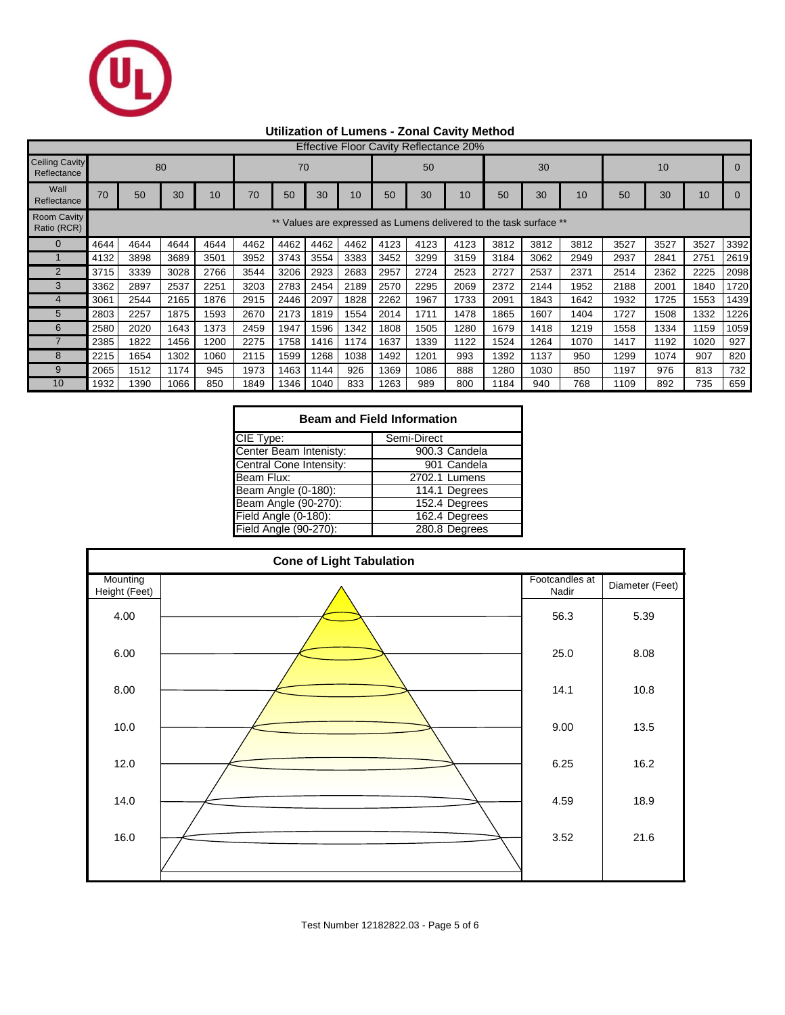

### **Utilization of Lumens - Zonal Cavity Method**

|                                      | <b>Effective Floor Cavity Reflectance 20%</b>                   |      |      |      |      |      |      |      |      |      |      |      |      |      |      |      |      |      |
|--------------------------------------|-----------------------------------------------------------------|------|------|------|------|------|------|------|------|------|------|------|------|------|------|------|------|------|
| <b>Ceiling Cavity</b><br>Reflectance | 80<br>70                                                        |      |      |      |      |      |      |      | 50   |      |      | 30   |      |      | 10   |      |      |      |
| Wall<br>Reflectance                  | 70                                                              | 50   | 30   | 10   | 70   | 50   | 30   | 10   | 50   | 30   | 10   | 50   | 30   | 10   | 50   | 30   | 10   |      |
| <b>Room Cavity</b><br>Ratio (RCR)    | Values are expressed as Lumens delivered to the task surface ** |      |      |      |      |      |      |      |      |      |      |      |      |      |      |      |      |      |
|                                      | 4644                                                            | 4644 | 4644 | 4644 | 4462 | 4462 | 4462 | 4462 | 4123 | 4123 | 4123 | 3812 | 3812 | 3812 | 3527 | 3527 | 3527 | 3392 |
|                                      | 4132                                                            | 3898 | 3689 | 3501 | 3952 | 3743 | 3554 | 3383 | 3452 | 3299 | 3159 | 3184 | 3062 | 2949 | 2937 | 2841 | 2751 | 2619 |
| $\overline{2}$                       | 3715                                                            | 3339 | 3028 | 2766 | 3544 | 3206 | 2923 | 2683 | 2957 | 2724 | 2523 | 2727 | 2537 | 2371 | 2514 | 2362 | 2225 | 2098 |
| 3                                    | 3362                                                            | 2897 | 2537 | 2251 | 3203 | 2783 | 2454 | 2189 | 2570 | 2295 | 2069 | 2372 | 2144 | 1952 | 2188 | 2001 | 1840 | 1720 |
|                                      | 3061                                                            | 2544 | 2165 | 1876 | 2915 | 2446 | 2097 | 1828 | 2262 | 1967 | 1733 | 2091 | 1843 | 1642 | 1932 | 1725 | 1553 | 1439 |
| 5                                    | 2803                                                            | 2257 | 1875 | 1593 | 2670 | 2173 | 1819 | 1554 | 2014 | 1711 | 1478 | 1865 | 1607 | 1404 | 1727 | 1508 | 1332 | 1226 |
| 6                                    | 2580                                                            | 2020 | 1643 | 1373 | 2459 | 1947 | 1596 | 1342 | 1808 | 1505 | 1280 | 1679 | 1418 | 1219 | 1558 | 1334 | 1159 | 1059 |
|                                      | 2385                                                            | 1822 | 1456 | 1200 | 2275 | 1758 | 1416 | 1174 | 1637 | 1339 | 1122 | 1524 | 1264 | 1070 | 1417 | 1192 | 1020 | 927  |
| 8                                    | 2215                                                            | 1654 | 1302 | 1060 | 2115 | 1599 | 1268 | 1038 | 1492 | 1201 | 993  | 1392 | 1137 | 950  | 1299 | 1074 | 907  | 820  |
| 9                                    | 2065                                                            | 1512 | 1174 | 945  | 1973 | 1463 | 1144 | 926  | 1369 | 1086 | 888  | 1280 | 1030 | 850  | 1197 | 976  | 813  | 732  |
| 10                                   | 1932                                                            | 1390 | 1066 | 850  | 1849 | 1346 | 1040 | 833  | 1263 | 989  | 800  | 1184 | 940  | 768  | 1109 | 892  | 735  | 659  |

| <b>Beam and Field Information</b> |               |  |  |  |  |  |  |  |  |
|-----------------------------------|---------------|--|--|--|--|--|--|--|--|
| CIE Type:                         | Semi-Direct   |  |  |  |  |  |  |  |  |
| Center Beam Intenisty:            | 900.3 Candela |  |  |  |  |  |  |  |  |
| Central Cone Intensity:           | 901 Candela   |  |  |  |  |  |  |  |  |
| Beam Flux:                        | 2702.1 Lumens |  |  |  |  |  |  |  |  |
| Beam Angle (0-180):               | 114.1 Degrees |  |  |  |  |  |  |  |  |
| Beam Angle (90-270):              | 152.4 Degrees |  |  |  |  |  |  |  |  |
| Field Angle (0-180):              | 162.4 Degrees |  |  |  |  |  |  |  |  |
| Field Angle (90-270):             | 280.8 Degrees |  |  |  |  |  |  |  |  |